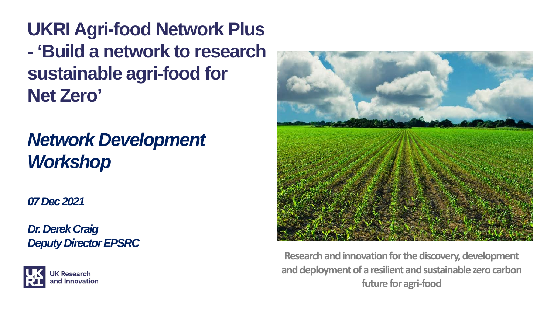**UKRI Agri-food Network Plus - 'Build a network to research sustainable agri-food for Net Zero'**

#### *Network Development Workshop*

*07 Dec 2021*

*Dr. Derek Craig Deputy Director EPSRC*





**Research and innovation for the discovery, development and deployment of a resilient and sustainable zero carbon future for agri-food**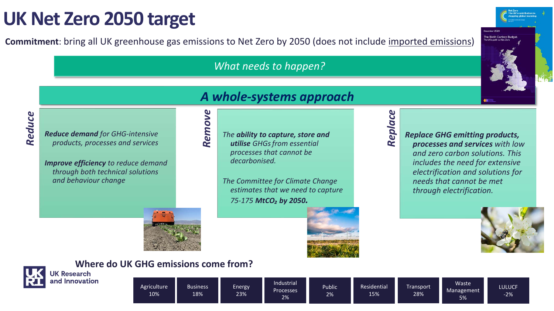#### **UK Net Zero 2050 target**

**Commitment**: bring all UK greenhouse gas emissions to Net Zero by 2050 (does not include imported emissions)

*What needs to happen?*

## *A whole-systems approach*Remove *Remove*

# *Reduce*

*Reduce demand for GHG-intensive products, processes and services*

*Improve efficiency to reduce demand through both technical solutions and behaviour change*



#### *The ability to capture, store and utilise GHGsfrom essential processes that cannot be decarbonised.*

*The Committee for Climate Change estimates that we need to capture 75-175 MtCO₂ by 2050.*

# *Replace*

*Replace GHG emitting products, processes and services with low and zero carbon solutions. This includes the need for extensive electrification and solutions for needs that cannot be met through electrification.* 



The Sixth Carbon Budge

## and Innovation

**Where do UK GHG emissions come from?**

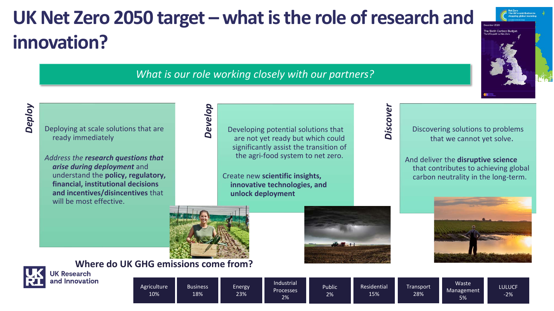## **UK Net Zero 2050 target – what is the role of research and innovation?**

#### *What is our role working closely with our partners?*

*Deploy*

Deploying at scale solutions that are ready immediately

*Address the research questions that arise during deployment* and understand the **policy, regulatory, financial, institutional decisions and incentives/disincentives** that will be most effective

Developing potential solutions that are not yet ready but which could significantly assist the transition of the agri-food system to net zero.

Create new **scientific insights, innovative technologies, and unlock deployment**



*Develop*

**Where do UK GHG emissions come from?**<br>JK Research





Discovering solutions to problems that we cannot yet solve.

The Sixth Carbon Budg

And deliver the **disruptive science**  that contributes to achieving global carbon neutrality in the long-term.





and Innovation

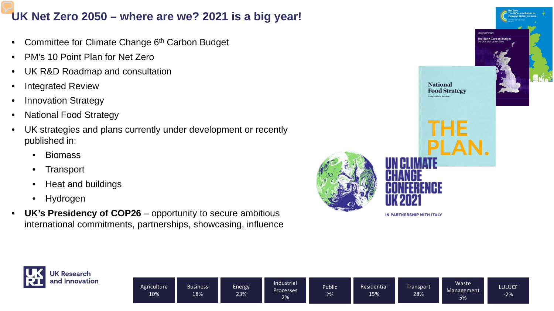#### **UK Net Zero 2050 – where are we? 2021 is a big year!**

- Committee for Climate Change 6<sup>th</sup> Carbon Budget
- PM's 10 Point Plan for Net Zero
- UK R&D Roadmap and consultation
- Integrated Review
- Innovation Strategy
- National Food Strategy
- UK strategies and plans currently under development or recently published in:
	- Biomass
	- Transport
	- Heat and buildings
	- Hydrogen
- **UK's Presidency of COP26**  opportunity to secure ambitious international commitments, partnerships, showcasing, influence



IN PARTNERSHIP WITH ITALY

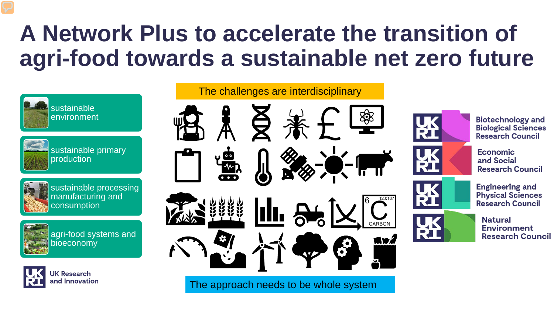## **A Network Plus to accelerate the transition of agri-food towards a sustainable net zero future**



sustainable primary production



sustainable processing manufacturing and consumption



agri-food systems and bioeconomy



**JK Research** and Innovation

# The challenges are interdisciplinary **III.** 84 **MIX**

The approach needs to be whole system



**Biotechnology and Biological Sciences Research Council** 







**Engineering and Physical Sciences Research Council** 

**Natural Environment Research Council**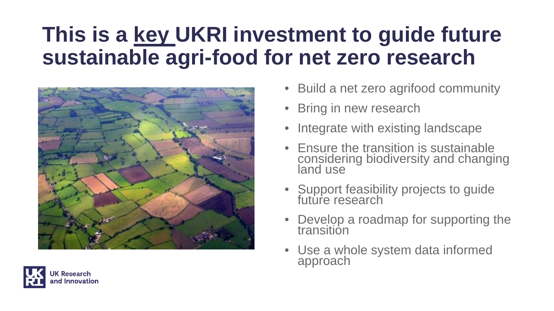## **This is a key UKRI investment to guide future sustainable agri-food for net zero research**



- Build a net zero agrifood community
- **Bring in new research**
- Integrate with existing landscape
- Ensure the transition is sustainable considering biodiversity and changing land use
- Support feasibility projects to guide future research
- Develop a roadmap for supporting the transition
- Use a whole system data informed approach

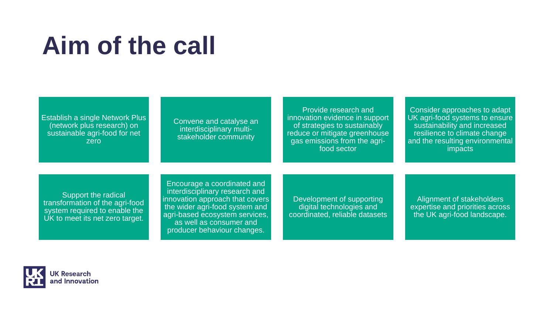# **Aim of the call**

| Establish a single Network Plus<br>(network plus research) on<br>sustainable agri-food for net<br>zero                     | Convene and catalyse an<br>interdisciplinary multi-<br>stakeholder community                                                                                                                                                   | Provide research and<br>innovation evidence in support<br>of strategies to sustainably<br>reduce or mitigate greenhouse<br>gas emissions from the agri-<br>food sector | Consider approaches to adapt<br>UK agri-food systems to ensure<br>sustainability and increased<br>resilience to climate change<br>and the resulting environmental<br>impacts |
|----------------------------------------------------------------------------------------------------------------------------|--------------------------------------------------------------------------------------------------------------------------------------------------------------------------------------------------------------------------------|------------------------------------------------------------------------------------------------------------------------------------------------------------------------|------------------------------------------------------------------------------------------------------------------------------------------------------------------------------|
| Support the radical<br>transformation of the agri-food<br>system required to enable the<br>UK to meet its net zero target. | Encourage a coordinated and<br>interdisciplinary research and<br>innovation approach that covers<br>the wider agri-food system and<br>agri-based ecosystem services,<br>as well as consumer and<br>producer behaviour changes. | Development of supporting<br>digital technologies and<br>coordinated, reliable datasets                                                                                | Alignment of stakeholders<br>expertise and priorities across<br>the UK agri-food landscape.                                                                                  |

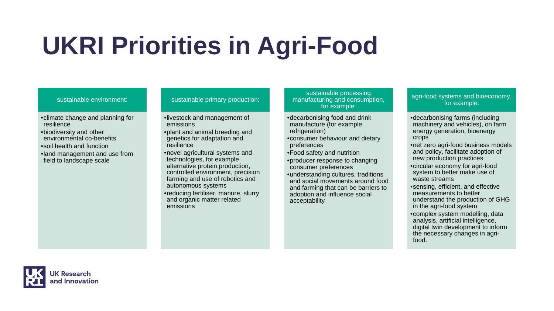# **UKRI Priorities in Agri-Food**

#### sustainable environment:

- •climate change and planning for resilience
- •biodiversity and other environmental co-benefits •soil health and function •land management and use from field to landscape scale

#### sustainable primary production:

- •livestock and management of emissions
- •plant and animal breeding and genetics for adaptation and resilience
- •novel agricultural systems and technologies, for example alternative protein production, controlled environment, precision farming and use of robotics and autonomous systems
- •reducing fertiliser, manure, slurry and organic matter related emissions

sustainable processing manufacturing and consumption, for example:

- •decarbonising food and drink manufacture (for example refrigeration)
- •consumer behaviour and dietary preferences
- •Food safety and nutrition
- •producer response to changing consumer preferences
- •understanding cultures, traditions and social movements around food and farming that can be barriers to adoption and influence social acceptability

#### agri-food systems and bioeconomy, for example:

- •decarbonising farms (including machinery and vehicles), on farm energy generation, bioenergy crops
- •net zero agri-food business models and policy, facilitate adoption of new production practices
- •circular economy for agri-food system to better make use of waste streams
- •sensing, efficient, and effective measurements to better understand the production of GHG in the agri-food system
- •complex system modelling, data analysis, artificial intelligence, digital twin development to inform the necessary changes in agrifood.

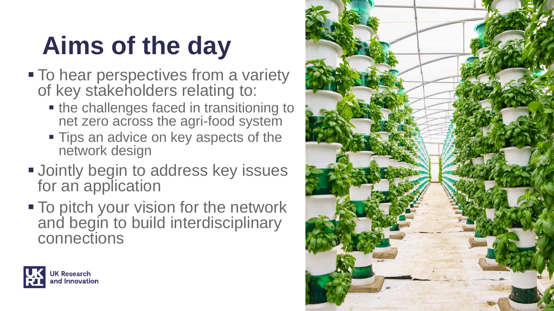# **Aims of the day**

- $\blacksquare$  To hear perspectives from a variety of key stakeholders relating to:
	- the challenges faced in transitioning to net zero across the agri-food system
	- **Tips an advice on key aspects of the** network design
- **Jointly begin to address key issues** for an application
- **To pitch your vision for the network** and begin to build interdisciplinary connections



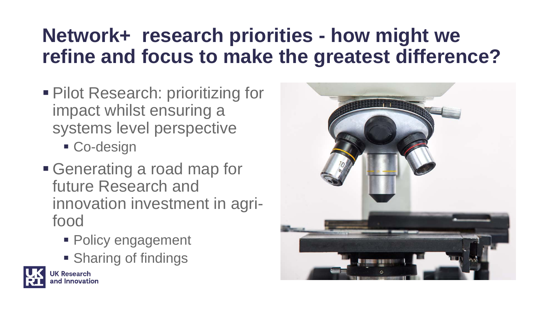### **Network+ research priorities - how might we refine and focus to make the greatest difference?**

- **Pilot Research: prioritizing for** impact whilst ensuring a systems level perspective
	- Co-design
- Generating a road map for future Research and innovation investment in agrifood
	- Policy engagement
	- **Sharing of findings**



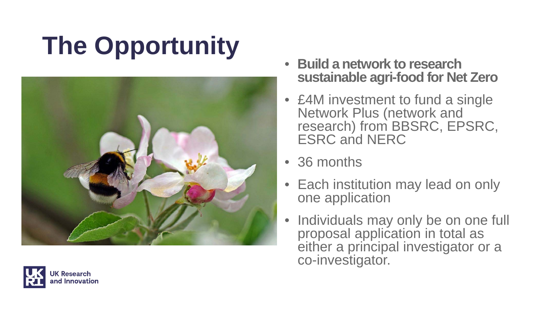# **The Opportunity**



- **Build a network to research sustainable agri-food for Net Zero**
- £4M investment to fund a single Network Plus (network and research) from BBSRC, EPSRC, ESRC and NERC
- 36 months
- Each institution may lead on only one application
- Individuals may only be on one full proposal application in total as either a principal investigator or a co-investigator.